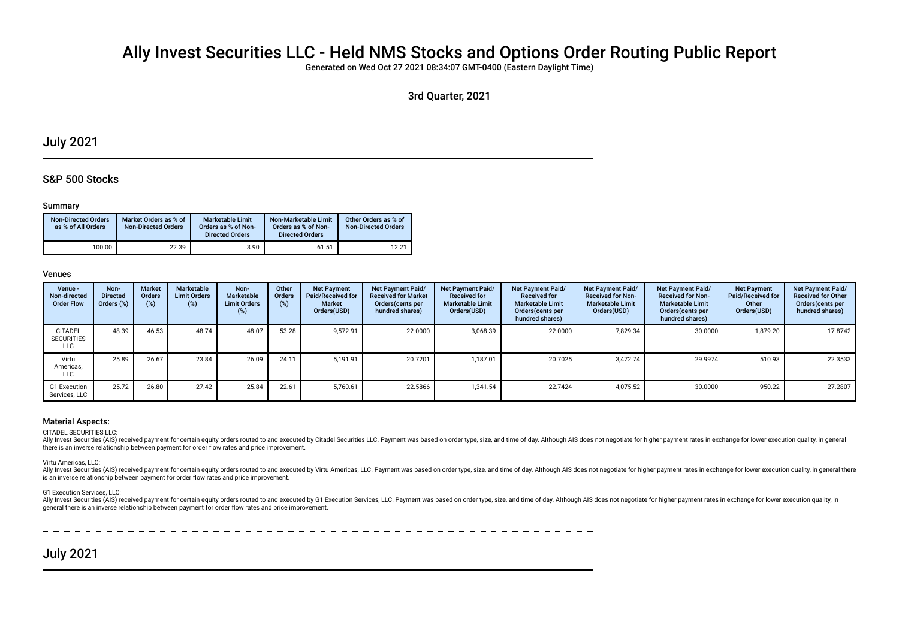# Ally Invest Securities LLC - Held NMS Stocks and Options Order Routing Public Report

Generated on Wed Oct 27 2021 08:34:07 GMT-0400 (Eastern Daylight Time)

3rd Quarter, 2021

## July 2021

## S&P 500 Stocks

### Summary

| <b>Non-Directed Orders</b><br>as % of All Orders | Market Orders as % of<br><b>Non-Directed Orders</b> | <b>Marketable Limit</b><br>Orders as % of Non-<br><b>Directed Orders</b> | Non-Marketable Limit<br>Orders as % of Non-<br><b>Directed Orders</b> | Other Orders as % of<br><b>Non-Directed Orders</b> |
|--------------------------------------------------|-----------------------------------------------------|--------------------------------------------------------------------------|-----------------------------------------------------------------------|----------------------------------------------------|
| 100.00                                           | 22.39                                               | 3.90                                                                     | 61.51                                                                 | 12.21                                              |

#### Venues

| Venue -<br>Non-directed<br><b>Order Flow</b> | Non-<br><b>Directed</b><br>Orders (%) | <b>Market</b><br>Orders<br>(%) | Marketable<br><b>Limit Orders</b><br>(%) | Non-<br><b>Marketable</b><br><b>Limit Orders</b><br>(%) | Other<br>Orders<br>(%) | <b>Net Payment</b><br><b>Paid/Received for</b><br><b>Market</b><br>Orders(USD) | <b>Net Payment Paid/</b><br><b>Received for Market</b><br>Orders (cents per<br>hundred shares) | <b>Net Payment Paid/</b><br><b>Received for</b><br><b>Marketable Limit</b><br>Orders(USD) | <b>Net Payment Paid/</b><br><b>Received for</b><br><b>Marketable Limit</b><br>Orders (cents per<br>hundred shares) | Net Payment Paid/<br><b>Received for Non-</b><br><b>Marketable Limit</b><br>Orders(USD) | <b>Net Payment Paid/</b><br><b>Received for Non-</b><br><b>Marketable Limit</b><br>Orders (cents per<br>hundred shares) | <b>Net Payment</b><br><b>Paid/Received for</b><br>Other<br>Orders(USD) | Net Payment Paid/<br><b>Received for Other</b><br>Orders(cents per<br>hundred shares) |
|----------------------------------------------|---------------------------------------|--------------------------------|------------------------------------------|---------------------------------------------------------|------------------------|--------------------------------------------------------------------------------|------------------------------------------------------------------------------------------------|-------------------------------------------------------------------------------------------|--------------------------------------------------------------------------------------------------------------------|-----------------------------------------------------------------------------------------|-------------------------------------------------------------------------------------------------------------------------|------------------------------------------------------------------------|---------------------------------------------------------------------------------------|
| <b>CITADEL</b><br><b>SECURITIES</b><br>LLC   | 48.39                                 | 46.53                          | 48.74                                    | 48.07                                                   | 53.28                  | 9,572.91                                                                       | 22.0000                                                                                        | 3,068.39                                                                                  | 22.0000                                                                                                            | 7,829.34                                                                                | 30.0000                                                                                                                 | 1,879.20                                                               | 17.8742                                                                               |
| Virtu<br>Americas,<br>LLC                    | 25.89                                 | 26.67                          | 23.84                                    | 26.09                                                   | 24.11                  | 5.191.91                                                                       | 20.7201                                                                                        | 1,187.01                                                                                  | 20.7025                                                                                                            | 3.472.74                                                                                | 29.9974                                                                                                                 | 510.93                                                                 | 22.3533                                                                               |
| G1 Execution<br>Services, LLC                | 25.72                                 | 26.80                          | 27.42                                    | 25.84                                                   | 22.61                  | 5.760.61                                                                       | 22.5866                                                                                        | 1,341.54                                                                                  | 22.7424                                                                                                            | 4.075.52                                                                                | 30.0000                                                                                                                 | 950.22                                                                 | 27.2807                                                                               |

#### Material Aspects:

CITADEL SECURITIES LLC:

Ally Invest Securities (AIS) received payment for certain equity orders routed to and executed by Citadel Securities LLC. Payment was based on order type, size, and time of day. Although AIS does not negotiate for higher p there is an inverse relationship between payment for order fow rates and price improvement.

Virtu Americas, LLC:

Ally Invest Securities (AIS) received payment for certain equity orders routed to and executed by Virtu Americas, LLC. Payment was based on order type, size, and time of day. Although AIS does not negotiate for higher paym is an inverse relationship between payment for order fow rates and price improvement.

#### G1 Execution Services, LLC:

Ally Invest Securities (AIS) received payment for certain equity orders routed to and executed by G1 Execution Services, LLC. Payment was based on order type, size, and time of day. Although AIS does not negotiate for high general there is an inverse relationship between payment for order fow rates and price improvement.

----------------

## July 2021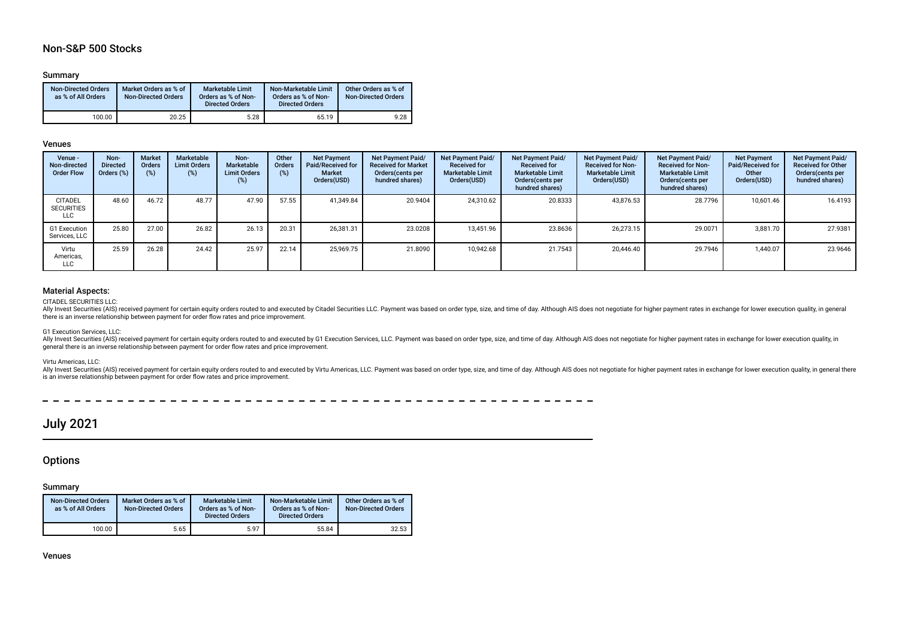## Non-S&P 500 Stocks

### Summary

| <b>Non-Directed Orders</b><br>as % of All Orders | Market Orders as % of<br><b>Non-Directed Orders</b> | <b>Marketable Limit</b><br>Orders as % of Non-<br><b>Directed Orders</b> | Non-Marketable Limit<br>Orders as % of Non-<br><b>Directed Orders</b> | Other Orders as % of<br><b>Non-Directed Orders</b> |
|--------------------------------------------------|-----------------------------------------------------|--------------------------------------------------------------------------|-----------------------------------------------------------------------|----------------------------------------------------|
| 100.00                                           | 20.25                                               | 5.28                                                                     | 65.19                                                                 | 9.28                                               |

#### Venues

| Venue -<br>Non-directed<br><b>Order Flow</b>      | Non-<br><b>Directed</b><br>Orders (%) | <b>Market</b><br>Orders<br>$(\%)$ | Marketable<br><b>Limit Orders</b><br>(%) | Non-<br>Marketable<br><b>Limit Orders</b><br>(%) | Other<br>Orders<br>(%) | <b>Net Payment</b><br>Paid/Received for<br><b>Market</b><br>Orders(USD) | <b>Net Payment Paid/</b><br><b>Received for Market</b><br>Orders(cents per<br>hundred shares) | <b>Net Payment Paid/</b><br><b>Received for</b><br><b>Marketable Limit</b><br>Orders(USD) | Net Payment Paid/<br><b>Received for</b><br><b>Marketable Limit</b><br>Orders(cents per<br>hundred shares) | Net Payment Paid/<br><b>Received for Non-</b><br><b>Marketable Limit</b><br>Orders(USD) | <b>Net Payment Paid/</b><br><b>Received for Non-</b><br><b>Marketable Limit</b><br>Orders (cents per<br>hundred shares) | <b>Net Payment</b><br><b>Paid/Received for</b><br>Other<br>Orders(USD) | Net Payment Paid/<br><b>Received for Other</b><br>Orders(cents per<br>hundred shares) |
|---------------------------------------------------|---------------------------------------|-----------------------------------|------------------------------------------|--------------------------------------------------|------------------------|-------------------------------------------------------------------------|-----------------------------------------------------------------------------------------------|-------------------------------------------------------------------------------------------|------------------------------------------------------------------------------------------------------------|-----------------------------------------------------------------------------------------|-------------------------------------------------------------------------------------------------------------------------|------------------------------------------------------------------------|---------------------------------------------------------------------------------------|
| <b>CITADEL</b><br><b>SECURITIES</b><br><b>LLC</b> | 48.60                                 | 46.72                             | 48.77                                    | 47.90                                            | 57.55                  | 41.349.84                                                               | 20.9404                                                                                       | 24,310.62                                                                                 | 20.8333                                                                                                    | 43,876.53                                                                               | 28.7796                                                                                                                 | 10,601.46                                                              | 16.4193                                                                               |
| G1 Execution<br>Services, LLC                     | 25.80                                 | 27.00                             | 26.82                                    | 26.13                                            | 20.31                  | 26,381.31                                                               | 23.0208                                                                                       | 13,451.96                                                                                 | 23.8636                                                                                                    | 26.273.15                                                                               | 29.0071                                                                                                                 | 3,881.70                                                               | 27.9381                                                                               |
| Virtu<br>Americas,<br>LLC                         | 25.59                                 | 26.28                             | 24.42                                    | 25.97                                            | 22.14                  | 25.969.75                                                               | 21.8090                                                                                       | 10.942.68                                                                                 | 21.7543                                                                                                    | 20.446.40                                                                               | 29.7946                                                                                                                 | 1,440.07                                                               | 23.9646                                                                               |

## Material Aspects:

#### CITADEL SECURITIES LLC:

Ally Invest Securities (AIS) received payment for certain equity orders routed to and executed by Citadel Securities LLC. Payment was based on order type, size, and time of day. Although AIS does not negotiate for higher p there is an inverse relationship between payment for order fow rates and price improvement.

#### G1 Execution Services, LLC:

Ally Invest Securities (AIS) received payment for certain equity orders routed to and executed by G1 Execution Services, LLC. Payment was based on order type, size, and time of day. Although AIS does not negotiate for high general there is an inverse relationship between payment for order fow rates and price improvement.

#### Virtu Americas, LLC:

Ally Invest Securities (AIS) received payment for certain equity orders routed to and executed by Virtu Americas, LLC. Payment was based on order type, size, and time of day. Although AIS does not negotiate for higher paym is an inverse relationship between payment for order fow rates and price improvement.

 $\overline{a}$  $- - - - - - \sim$  $\overline{\phantom{0}}$  $-$ 

## July 2021

## **Options**

### Summary

| <b>Non-Directed Orders</b><br>as % of All Orders | Market Orders as % of<br><b>Non-Directed Orders</b> | <b>Marketable Limit</b><br>Orders as % of Non-<br><b>Directed Orders</b> | Non-Marketable Limit<br>Orders as % of Non-<br><b>Directed Orders</b> | Other Orders as % of<br><b>Non-Directed Orders</b> |
|--------------------------------------------------|-----------------------------------------------------|--------------------------------------------------------------------------|-----------------------------------------------------------------------|----------------------------------------------------|
| 100.00                                           | 5.65                                                | 5.97                                                                     | 55.84                                                                 | 32.53                                              |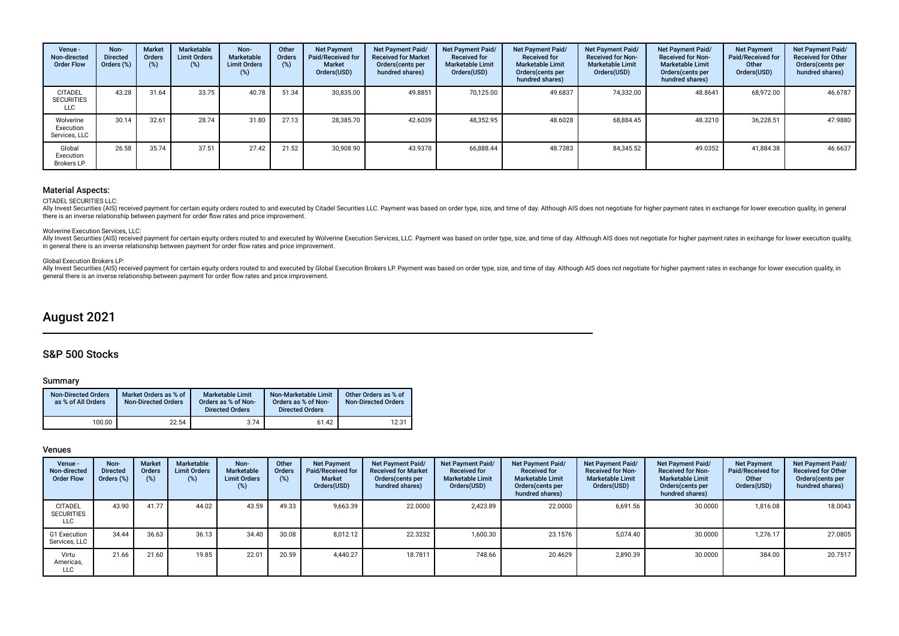| Venue -<br>Non-directed<br><b>Order Flow</b> | Non-<br><b>Directed</b><br>Orders (%) | <b>Market</b><br><b>Orders</b><br>(%) | Marketable<br><b>Limit Orders</b><br>(%) | Non-<br>Marketable<br><b>Limit Orders</b><br>(%) | Other<br>Orders<br>(%) | <b>Net Payment</b><br>Paid/Received for<br><b>Market</b><br>Orders(USD) | Net Payment Paid/<br><b>Received for Market</b><br>Orders (cents per<br>hundred shares) | Net Payment Paid/<br><b>Received for</b><br><b>Marketable Limit</b><br>Orders(USD) | Net Payment Paid/<br><b>Received for</b><br><b>Marketable Limit</b><br>Orders (cents per<br>hundred shares) | Net Payment Paid/<br><b>Received for Non-</b><br><b>Marketable Limit</b><br>Orders(USD) | Net Payment Paid/<br><b>Received for Non-</b><br><b>Marketable Limit</b><br>Orders(cents per<br>hundred shares) | <b>Net Payment</b><br>Paid/Received for<br>Other<br>Orders(USD) | Net Payment Paid/<br><b>Received for Other</b><br>Orders (cents per<br>hundred shares) |
|----------------------------------------------|---------------------------------------|---------------------------------------|------------------------------------------|--------------------------------------------------|------------------------|-------------------------------------------------------------------------|-----------------------------------------------------------------------------------------|------------------------------------------------------------------------------------|-------------------------------------------------------------------------------------------------------------|-----------------------------------------------------------------------------------------|-----------------------------------------------------------------------------------------------------------------|-----------------------------------------------------------------|----------------------------------------------------------------------------------------|
| <b>CITADEL</b><br><b>SECURITIES</b><br>LLC   | 43.28                                 | 31.64                                 | 33.75                                    | 40.78                                            | 51.34                  | 30,835.00                                                               | 49.8851                                                                                 | 70,125.00                                                                          | 49.6837                                                                                                     | 74,332.00                                                                               | 48.8641                                                                                                         | 68,972.00                                                       | 46.6787                                                                                |
| Wolverine<br>Execution<br>Services, LLC      | 30.14                                 | 32.61                                 | 28.74                                    | 31.80                                            | 27.13                  | 28.385.70                                                               | 42.6039                                                                                 | 48,352.95                                                                          | 48.6028                                                                                                     | 68,884.45                                                                               | 48.3210                                                                                                         | 36,228.51                                                       | 47.9880                                                                                |
| Global<br>Execution<br><b>Brokers LP</b>     | 26.58                                 | 35.74                                 | 37.51                                    | 27.42                                            | 21.52                  | 30.908.90                                                               | 43.9378                                                                                 | 66,888.44                                                                          | 48.7383                                                                                                     | 84,345.52                                                                               | 49.0352                                                                                                         | 41,884.38                                                       | 46.6637                                                                                |

#### CITADEL SECURITIES LLC:

Ally Invest Securities (AIS) received payment for certain equity orders routed to and executed by Citadel Securities LLC. Payment was based on order type, size, and time of day. Although AIS does not negotiate for higher p there is an inverse relationship between payment for order fow rates and price improvement.

#### Wolverine Execution Services, LLC:

Ally Invest Securities (AIS) received payment for certain equity orders routed to and executed by Wolverine Execution Services, LLC. Payment was based on order type, size, and time of day. Although AIS does not negotiate f in general there is an inverse relationship between payment for order fow rates and price improvement.

#### Global Execution Brokers LP:

Ally Invest Securities (AIS) received payment for certain equity orders routed to and executed by Global Execution Brokers LP. Payment was based on order type, size, and time of day. Although AIS does not negotiate for hig general there is an inverse relationship between payment for order fow rates and price improvement.

## August 2021

## S&P 500 Stocks

#### Summary

| <b>Non-Directed Orders</b><br>as % of All Orders | Market Orders as % of<br><b>Non-Directed Orders</b> | <b>Marketable Limit</b><br>Orders as % of Non-<br><b>Directed Orders</b> | Non-Marketable Limit<br>Orders as % of Non-<br><b>Directed Orders</b> | Other Orders as % of<br><b>Non-Directed Orders</b> |
|--------------------------------------------------|-----------------------------------------------------|--------------------------------------------------------------------------|-----------------------------------------------------------------------|----------------------------------------------------|
| 100.00                                           | 22.54                                               | 3.74                                                                     | 61.42                                                                 | 12.31                                              |

| Venue -<br>Non-directed<br><b>Order Flow</b> | Non-<br><b>Directed</b><br>Orders (%) | <b>Market</b><br>Orders<br>(% ) | Marketable<br><b>Limit Orders</b><br>(%) | Non-<br><b>Marketable</b><br><b>Limit Orders</b><br>(%) | Other<br>Orders<br>(%) | <b>Net Payment</b><br>Paid/Received for<br><b>Market</b><br>Orders(USD) | Net Payment Paid/<br><b>Received for Market</b><br>Orders(cents per<br>hundred shares) | Net Payment Paid/<br><b>Received for</b><br><b>Marketable Limit</b><br>Orders(USD) | Net Payment Paid/<br><b>Received for</b><br><b>Marketable Limit</b><br>Orders(cents per<br>hundred shares) | Net Payment Paid/<br><b>Received for Non-</b><br><b>Marketable Limit</b><br>Orders(USD) | <b>Net Payment Paid/</b><br><b>Received for Non-</b><br><b>Marketable Limit</b><br>Orders (cents per<br>hundred shares) | <b>Net Payment</b><br>Paid/Received for<br>Other<br>Orders(USD) | <b>Net Payment Paid/</b><br><b>Received for Other</b><br>Orders(cents per<br>hundred shares) |
|----------------------------------------------|---------------------------------------|---------------------------------|------------------------------------------|---------------------------------------------------------|------------------------|-------------------------------------------------------------------------|----------------------------------------------------------------------------------------|------------------------------------------------------------------------------------|------------------------------------------------------------------------------------------------------------|-----------------------------------------------------------------------------------------|-------------------------------------------------------------------------------------------------------------------------|-----------------------------------------------------------------|----------------------------------------------------------------------------------------------|
| CITADEL<br><b>SECURITIES</b><br>LLC          | 43.90                                 | 41.77                           | 44.02                                    | 43.59                                                   | 49.33                  | 9,663.39                                                                | 22.0000                                                                                | 2,423.89                                                                           | 22.0000                                                                                                    | 6,691.56                                                                                | 30.0000                                                                                                                 | 1,816.08                                                        | 18.0043                                                                                      |
| G1 Execution<br>Services, LLC                | 34.44                                 | 36.63                           | 36.13                                    | 34.40                                                   | 30.08                  | 8.012.12                                                                | 22.3232                                                                                | 1,600.30                                                                           | 23.1576                                                                                                    | 5.074.40                                                                                | 30.0000                                                                                                                 | 1.276.17                                                        | 27.0805                                                                                      |
| Virtu<br>Americas,<br><b>LLC</b>             | 21.66                                 | 21.60                           | 19.85                                    | 22.01                                                   | 20.59                  | 4.440.27                                                                | 18.7811                                                                                | 748.66                                                                             | 20.4629                                                                                                    | 2,890.39                                                                                | 30.0000                                                                                                                 | 384.00                                                          | 20.7517                                                                                      |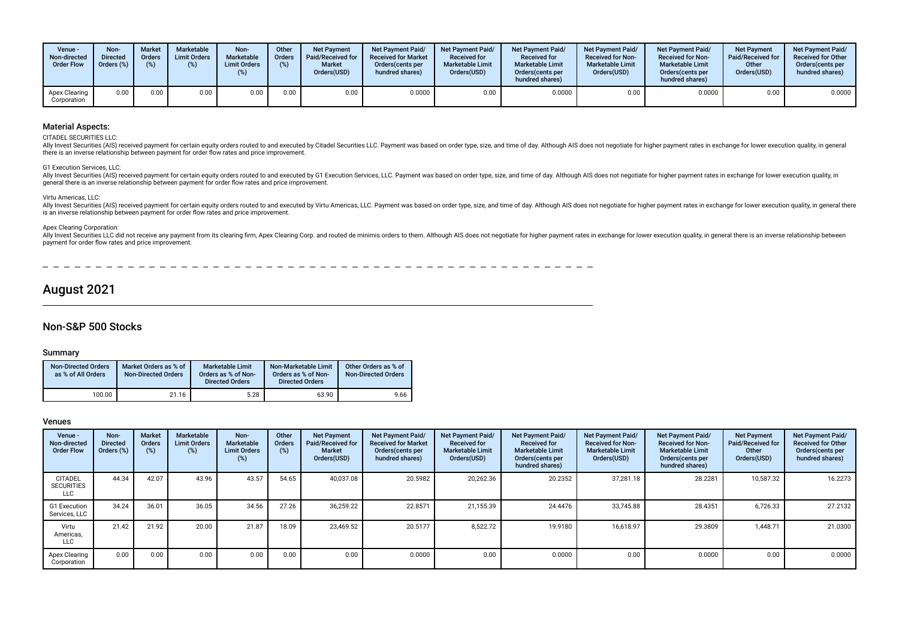| Venue -<br>Non-directed<br><b>Order Flow</b> | Non-<br><b>Directed</b><br>Orders (%) | <b>Market</b><br>Orders<br>(9) | Marketable<br><b>Limit Orders</b><br>(%) | Non-<br><b>Marketable</b><br><b>Limit Orders</b><br>(%) | Other<br>Orders<br>(%) | <b>Net Payment</b><br>Paid/Received for<br><b>Market</b><br>Orders(USD) | <b>Net Payment Paid/</b><br><b>Received for Market</b><br>Orders(cents per<br>hundred shares) | <b>Net Payment Paid/</b><br><b>Received for</b><br><b>Marketable Limit</b><br>Orders(USD) | <b>Net Payment Paid/</b><br><b>Received for</b><br><b>Marketable Limit</b><br>Orders (cents per<br>hundred shares) | Net Payment Paid/<br><b>Received for Non-</b><br><b>Marketable Limit</b><br>Orders(USD) | <b>Net Payment Paid/</b><br><b>Received for Non-</b><br><b>Marketable Limit</b><br>Orders (cents per<br>hundred shares) | Net Payment<br><b>Paid/Received for</b><br>Other<br>Orders(USD) | <b>Net Payment Paid/</b><br><b>Received for Other</b><br>Orders(cents per<br>hundred shares) |
|----------------------------------------------|---------------------------------------|--------------------------------|------------------------------------------|---------------------------------------------------------|------------------------|-------------------------------------------------------------------------|-----------------------------------------------------------------------------------------------|-------------------------------------------------------------------------------------------|--------------------------------------------------------------------------------------------------------------------|-----------------------------------------------------------------------------------------|-------------------------------------------------------------------------------------------------------------------------|-----------------------------------------------------------------|----------------------------------------------------------------------------------------------|
| Apex Clearing<br>Corporation                 | 0.00                                  | 0.00                           | 0.00                                     | 0.00                                                    | 0.00                   | 0.00                                                                    | 0.0000                                                                                        | 0.00                                                                                      | 0.0000                                                                                                             | 0.00                                                                                    | 0.0000                                                                                                                  | 0.00                                                            | 0.0000                                                                                       |

CITADEL SECURITIES LLC:

Ally Invest Securities (AIS) received payment for certain equity orders routed to and executed by Citadel Securities LLC. Payment was based on order type, size, and time of day. Although AIS does not negotiate for higher p there is an inverse relationship between payment for order fow rates and price improvement.

#### G1 Execution Services, LLC:

Ally Invest Securities (AIS) received payment for certain equity orders routed to and executed by G1 Execution Services, LLC. Payment was based on order type, size, and time of day. Although AIS does not negotiate for high general there is an inverse relationship between payment for order fow rates and price improvement.

#### Virtu Americas, LLC:

Ally Invest Securities (AIS) received payment for certain equity orders routed to and executed by Virtu Americas. LLC. Payment was based on order type, size, and time of day. Although AIS does not negotiate for higher paym is an inverse relationship between payment for order fow rates and price improvement.

#### Apex Clearing Corporation:

Ally Invest Securities LLC did not receive any payment from its clearing firm, Apex Clearing Corp. and routed de minimis orders to them. Although AIS does not negotiate for higher payment rates in exchange for lower execut payment for order fow rates and price improvement.

---------- $\overline{\phantom{0}}$  $\overline{\phantom{0}}$  $\sim$   $\equiv$   $\equiv$ ------

## August 2021

## Non-S&P 500 Stocks

#### Summary

| <b>Non-Directed Orders</b><br>as % of All Orders | Market Orders as % of<br><b>Non-Directed Orders</b> | <b>Marketable Limit</b><br>Orders as % of Non-<br><b>Directed Orders</b> | Non-Marketable Limit<br>Orders as % of Non-<br><b>Directed Orders</b> | Other Orders as % of<br><b>Non-Directed Orders</b> |
|--------------------------------------------------|-----------------------------------------------------|--------------------------------------------------------------------------|-----------------------------------------------------------------------|----------------------------------------------------|
| 100.00                                           | 21.16                                               | 5.28                                                                     | 63.90                                                                 | 9.66                                               |

| Venue -<br>Non-directed<br><b>Order Flow</b>      | Non-<br><b>Directed</b><br>Orders (%) | <b>Market</b><br>Orders<br>$(\%)$ | Marketable<br><b>Limit Orders</b><br>$(\%)$ | Non-<br>Marketable<br><b>Limit Orders</b><br>(%) | Other<br>Orders<br>(%) | <b>Net Payment</b><br>Paid/Received for<br><b>Market</b><br>Orders(USD) | <b>Net Payment Paid/</b><br><b>Received for Market</b><br>Orders (cents per<br>hundred shares) | Net Payment Paid/<br><b>Received for</b><br><b>Marketable Limit</b><br>Orders(USD) | Net Payment Paid/<br><b>Received for</b><br><b>Marketable Limit</b><br>Orders(cents per<br>hundred shares) | Net Payment Paid/<br><b>Received for Non-</b><br><b>Marketable Limit</b><br>Orders(USD) | Net Payment Paid/<br><b>Received for Non-</b><br><b>Marketable Limit</b><br>Orders (cents per<br>hundred shares) | <b>Net Payment</b><br>Paid/Received for<br>Other<br>Orders(USD) | Net Payment Paid/<br><b>Received for Other</b><br>Orders(cents per<br>hundred shares) |
|---------------------------------------------------|---------------------------------------|-----------------------------------|---------------------------------------------|--------------------------------------------------|------------------------|-------------------------------------------------------------------------|------------------------------------------------------------------------------------------------|------------------------------------------------------------------------------------|------------------------------------------------------------------------------------------------------------|-----------------------------------------------------------------------------------------|------------------------------------------------------------------------------------------------------------------|-----------------------------------------------------------------|---------------------------------------------------------------------------------------|
| <b>CITADEL</b><br><b>SECURITIES</b><br><b>LLC</b> | 44.34                                 | 42.07                             | 43.96                                       | 43.57                                            | 54.65                  | 40,037.08                                                               | 20.5982                                                                                        | 20,262.36                                                                          | 20.2352                                                                                                    | 37,281.18                                                                               | 28.2281                                                                                                          | 10,587.32                                                       | 16.2273                                                                               |
| <b>G1 Execution</b><br>Services, LLC              | 34.24                                 | 36.01                             | 36.05                                       | 34.56                                            | 27.26                  | 36,259.22                                                               | 22.8571                                                                                        | 21,155.39                                                                          | 24.4476                                                                                                    | 33.745.88                                                                               | 28.4351                                                                                                          | 6,726.33                                                        | 27.2132                                                                               |
| Virtu<br>Americas,<br>LLC                         | 21.42                                 | 21.92                             | 20.00                                       | 21.87                                            | 18.09                  | 23.469.52                                                               | 20.5177                                                                                        | 8,522.72                                                                           | 19.9180                                                                                                    | 16,618.97                                                                               | 29.3809                                                                                                          | 1,448.71                                                        | 21.0300                                                                               |
| Apex Clearing<br>Corporation                      | 0.00                                  | 0.00                              | 0.00                                        | 0.00                                             | 0.00                   | 0.00                                                                    | 0.0000                                                                                         | 0.00                                                                               | 0.0000                                                                                                     | 0.00                                                                                    | 0.0000                                                                                                           | 0.00                                                            | 0.0000                                                                                |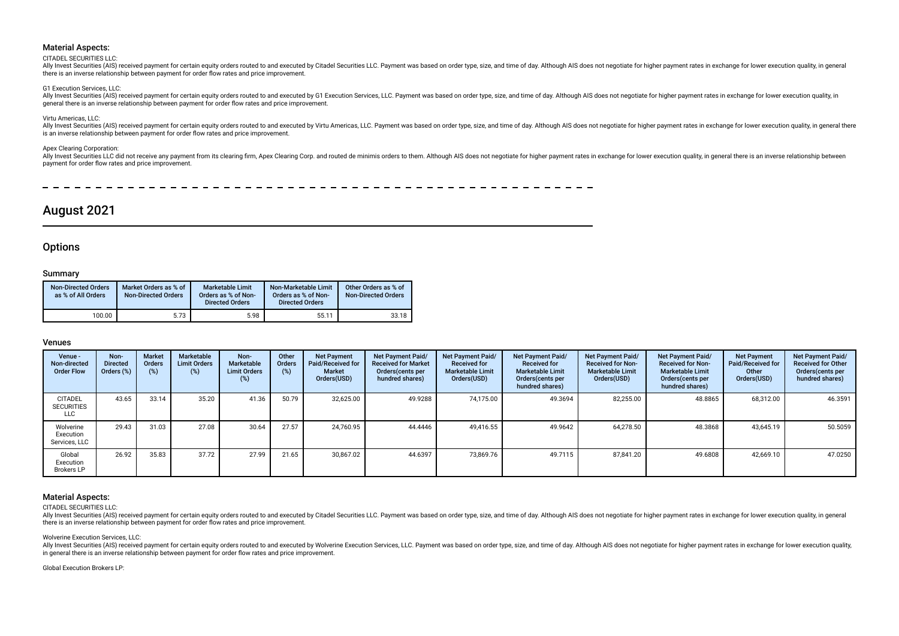#### CITADEL SECURITIES LLC:

Ally Invest Securities (AIS) received payment for certain equity orders routed to and executed by Citadel Securities LLC. Payment was based on order type, size, and time of day. Although AIS does not negotiate for higher p there is an inverse relationship between payment for order fow rates and price improvement.

#### G1 Execution Services, LLC:

Ally Invest Securities (AIS) received payment for certain equity orders routed to and executed by G1 Execution Services, LLC. Payment was based on order type, size, and time of day. Although AIS does not negotiate for high general there is an inverse relationship between payment for order fow rates and price improvement.

#### Virtu Americas, LLC:

Ally Invest Securities (AIS) received payment for certain equity orders routed to and executed by Virtu Americas, LLC. Payment was based on order type, size, and time of day. Although AIS does not negotiate for higher paym is an inverse relationship between payment for order fow rates and price improvement.

#### Apex Clearing Corporation:

Ally Invest Securities LLC did not receive any payment from its clearing firm, Apex Clearing Corp. and routed de minimis orders to them. Although AIS does not negotiate for higher payment rates in exchange for lower execut payment for order fow rates and price improvement.

## August 2021

### **Options**

#### Summary

| <b>Non-Directed Orders</b><br>as % of All Orders | Market Orders as % of<br><b>Non-Directed Orders</b> | <b>Marketable Limit</b><br>Orders as % of Non-<br><b>Directed Orders</b> | Non-Marketable Limit<br>Orders as % of Non-<br><b>Directed Orders</b> | Other Orders as % of<br><b>Non-Directed Orders</b> |
|--------------------------------------------------|-----------------------------------------------------|--------------------------------------------------------------------------|-----------------------------------------------------------------------|----------------------------------------------------|
| 100.00                                           | 5.73                                                | 5.98                                                                     | 55.11                                                                 | 33.18                                              |

#### Venues

| Venue -<br>Non-directed<br><b>Order Flow</b>      | Non-<br><b>Directed</b><br>Orders (%) | <b>Market</b><br>Orders<br>(%) | Marketable<br><b>Limit Orders</b><br>$(\%)$ | Non-<br>Marketable<br><b>Limit Orders</b><br>(%) | Other<br>Orders<br>(%) | <b>Net Payment</b><br>Paid/Received for<br><b>Market</b><br>Orders(USD) | Net Payment Paid/<br><b>Received for Market</b><br>Orders (cents per<br>hundred shares) | Net Payment Paid/<br><b>Received for</b><br><b>Marketable Limit</b><br>Orders(USD) | Net Payment Paid/<br><b>Received for</b><br><b>Marketable Limit</b><br>Orders(cents per<br>hundred shares) | Net Payment Paid/<br><b>Received for Non-</b><br><b>Marketable Limit</b><br>Orders(USD) | Net Payment Paid/<br><b>Received for Non-</b><br><b>Marketable Limit</b><br>Orders(cents per<br>hundred shares) | <b>Net Payment</b><br>Paid/Received for<br>Other<br>Orders(USD) | <b>Net Payment Paid/</b><br><b>Received for Other</b><br>Orders (cents per<br>hundred shares) |
|---------------------------------------------------|---------------------------------------|--------------------------------|---------------------------------------------|--------------------------------------------------|------------------------|-------------------------------------------------------------------------|-----------------------------------------------------------------------------------------|------------------------------------------------------------------------------------|------------------------------------------------------------------------------------------------------------|-----------------------------------------------------------------------------------------|-----------------------------------------------------------------------------------------------------------------|-----------------------------------------------------------------|-----------------------------------------------------------------------------------------------|
| <b>CITADEL</b><br><b>SECURITIES</b><br><b>LLC</b> | 43.65                                 | 33.14                          | 35.20                                       | 41.36                                            | 50.79                  | 32,625.00                                                               | 49.9288                                                                                 | 74,175.00                                                                          | 49.3694                                                                                                    | 82,255.00                                                                               | 48.8865                                                                                                         | 68,312.00                                                       | 46.3591                                                                                       |
| Wolverine<br>Execution<br>Services, LLC           | 29.43                                 | 31.03                          | 27.08                                       | 30.64                                            | 27.57                  | 24.760.95                                                               | 44.4446                                                                                 | 49,416.55                                                                          | 49.9642                                                                                                    | 64.278.50                                                                               | 48.3868                                                                                                         | 43,645.19                                                       | 50.5059                                                                                       |
| Global<br>Execution<br><b>Brokers LP</b>          | 26.92                                 | 35.83                          | 37.72                                       | 27.99                                            | 21.65                  | 30.867.02                                                               | 44.6397                                                                                 | 73,869.76                                                                          | 49.7115                                                                                                    | 87.841.20                                                                               | 49.6808                                                                                                         | 42,669.10                                                       | 47.0250                                                                                       |

### Material Aspects:

CITADEL SECURITIES LLC:

Ally Invest Securities (AIS) received payment for certain equity orders routed to and executed by Citadel Securities LLC. Payment was based on order type, size, and time of day. Although AIS does not negotiate for higher p there is an inverse relationship between payment for order fow rates and price improvement.

Wolverine Execution Services, LLC:

Ally Invest Securities (AIS) received payment for certain equity orders routed to and executed by Wolverine Execution Services, LLC. Payment was based on order type, size, and time of day. Although AIS does not negotiate f in general there is an inverse relationship between payment for order fow rates and price improvement.

Global Execution Brokers LP: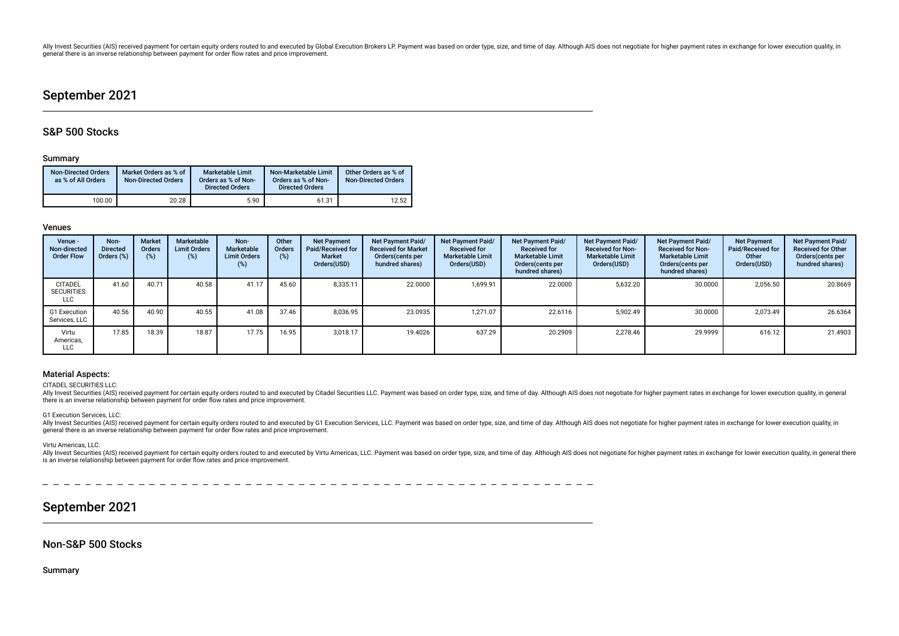Ally Invest Securities (AIS) received payment for certain equity orders routed to and executed by Global Execution Brokers LP. Payment was based on order type, size, and time of day. Although AIS does not negotiate for hig general there is an inverse relationship between payment for order fow rates and price improvement.

## September 2021

## S&P 500 Stocks

#### Summary

| <b>Non-Directed Orders</b><br>as % of All Orders | Market Orders as % of<br><b>Non-Directed Orders</b> | Marketable Limit<br>Orders as % of Non-<br><b>Directed Orders</b> | Non-Marketable Limit<br>Orders as % of Non-<br><b>Directed Orders</b> | Other Orders as % of<br><b>Non-Directed Orders</b> |
|--------------------------------------------------|-----------------------------------------------------|-------------------------------------------------------------------|-----------------------------------------------------------------------|----------------------------------------------------|
| 100.00                                           | 20.28                                               | 5.90                                                              | 61.31                                                                 | 12.52                                              |

### Venues

| Venue -<br>Non-directed<br><b>Order Flow</b> | Non-<br><b>Directed</b><br>Orders (%) | <b>Market</b><br>Orders<br>(% ) | Marketable<br><b>Limit Orders</b><br>(%) | Non-<br>Marketable<br><b>Limit Orders</b><br>(%) | Other<br>Orders<br>(%) | <b>Net Payment</b><br>Paid/Received for<br><b>Market</b><br>Orders(USD) | Net Payment Paid/<br><b>Received for Market</b><br>Orders cents per<br>hundred shares) | <b>Net Payment Paid/</b><br><b>Received for</b><br><b>Marketable Limit</b><br>Orders(USD) | Net Payment Paid/<br><b>Received for</b><br><b>Marketable Limit</b><br>Orders(cents per<br>hundred shares) | Net Payment Paid/<br><b>Received for Non-</b><br><b>Marketable Limit</b><br>Orders(USD) | Net Payment Paid/<br><b>Received for Non-</b><br><b>Marketable Limit</b><br>Orders (cents per<br>hundred shares) | <b>Net Payment</b><br>Paid/Received for<br>Other<br>Orders(USD) | <b>Net Payment Paid/</b><br><b>Received for Other</b><br>Orders(cents per<br>hundred shares) |
|----------------------------------------------|---------------------------------------|---------------------------------|------------------------------------------|--------------------------------------------------|------------------------|-------------------------------------------------------------------------|----------------------------------------------------------------------------------------|-------------------------------------------------------------------------------------------|------------------------------------------------------------------------------------------------------------|-----------------------------------------------------------------------------------------|------------------------------------------------------------------------------------------------------------------|-----------------------------------------------------------------|----------------------------------------------------------------------------------------------|
| <b>CITADEL</b><br><b>SECURITIES</b><br>LLC   | 41.60                                 | 40.71                           | 40.58                                    | 41.17                                            | 45.60                  | 8.335.11                                                                | 22.0000                                                                                | 1,699.91                                                                                  | 22.0000                                                                                                    | 5,632.20                                                                                | 30.0000                                                                                                          | 2,056.50                                                        | 20.8669                                                                                      |
| G1 Execution<br>Services, LLC                | 40.56                                 | 40.90                           | 40.55                                    | 41.08                                            | 37.46                  | 8.036.95                                                                | 23.0935                                                                                | 1.271.07                                                                                  | 22.6116                                                                                                    | 5.902.49                                                                                | 30.0000                                                                                                          | 2,073.49                                                        | 26.6364                                                                                      |
| Virtu<br>Americas.<br><b>LLC</b>             | 17.85                                 | 18.39                           | 18.87                                    | 17.75                                            | 16.95                  | 3.018.17                                                                | 19.4026                                                                                | 637.29                                                                                    | 20.2909                                                                                                    | 2.278.46                                                                                | 29.9999                                                                                                          | 616.12                                                          | 21.4903                                                                                      |

#### Material Aspects:

#### CITADEL SECURITIES LLC:

Ally Invest Securities (AIS) received payment for certain equity orders routed to and executed by Citadel Securities LLC. Payment was based on order type, size, and time of day. Although AIS does not negotiate for higher p there is an inverse relationship between payment for order fow rates and price improvement.

#### G1 Execution Services, LLC:

Ally Invest Securities (AIS) received payment for certain equity orders routed to and executed by G1 Execution Services, LLC. Payment was based on order type, size, and time of day. Although AIS does not negotiate for high general there is an inverse relationship between payment for order fow rates and price improvement.

#### Virtu Americas, LLC:

Ally Invest Securities (AIS) received payment for certain equity orders routed to and executed by Virtu Americas, LLC. Payment was based on order type, size, and time of day. Although AIS does not negotiate for higher paym is an inverse relationship between payment for order fow rates and price improvement.

## September 2021

## Non-S&P 500 Stocks

Summary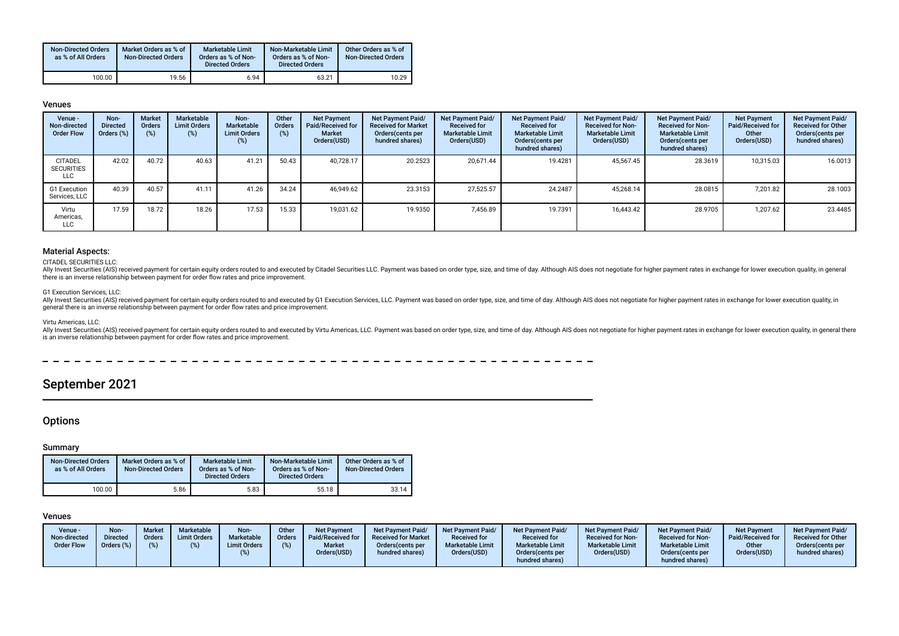| <b>Non-Directed Orders</b><br>as % of All Orders | Market Orders as % of<br><b>Non-Directed Orders</b> | Marketable Limit<br>Orders as % of Non-<br><b>Directed Orders</b> | Non-Marketable Limit<br>Orders as % of Non-<br><b>Directed Orders</b> | Other Orders as % of<br><b>Non-Directed Orders</b> |
|--------------------------------------------------|-----------------------------------------------------|-------------------------------------------------------------------|-----------------------------------------------------------------------|----------------------------------------------------|
| 100.00                                           | 19.56                                               | 6.94                                                              | 63.21                                                                 | 10.29                                              |

#### Venues

| Venue -<br>Non-directed<br><b>Order Flow</b> | Non-<br><b>Directed</b><br>Orders (%) | <b>Market</b><br>Orders<br>(%) | Marketable<br><b>Limit Orders</b><br>(%) | Non-<br>Marketable<br><b>Limit Orders</b><br>$(\%)$ | Other<br>Orders<br>(%) | <b>Net Payment</b><br>Paid/Received for<br><b>Market</b><br>Orders(USD) | <b>Net Payment Paid/</b><br><b>Received for Market</b><br>Orders (cents per<br>hundred shares) | <b>Net Payment Paid/</b><br><b>Received for</b><br><b>Marketable Limit</b><br>Orders(USD) | <b>Net Payment Paid/</b><br><b>Received for</b><br><b>Marketable Limit</b><br>Orders(cents per<br>hundred shares) | Net Payment Paid/<br><b>Received for Non-</b><br><b>Marketable Limit</b><br>Orders(USD) | Net Payment Paid/<br><b>Received for Non-</b><br><b>Marketable Limit</b><br>Orders(cents per<br>hundred shares) | <b>Net Payment</b><br><b>Paid/Received for</b><br>Other<br>Orders(USD) | Net Payment Paid/<br><b>Received for Other</b><br>Orders(cents per<br>hundred shares) |
|----------------------------------------------|---------------------------------------|--------------------------------|------------------------------------------|-----------------------------------------------------|------------------------|-------------------------------------------------------------------------|------------------------------------------------------------------------------------------------|-------------------------------------------------------------------------------------------|-------------------------------------------------------------------------------------------------------------------|-----------------------------------------------------------------------------------------|-----------------------------------------------------------------------------------------------------------------|------------------------------------------------------------------------|---------------------------------------------------------------------------------------|
| <b>CITADEL</b><br><b>SECURITIES</b><br>LLC   | 42.02                                 | 40.72                          | 40.63                                    | 41.21                                               | 50.43                  | 40.728.17                                                               | 20.2523                                                                                        | 20.671.44                                                                                 | 19.4281                                                                                                           | 45.567.45                                                                               | 28.3619                                                                                                         | 10,315.03                                                              | 16.0013                                                                               |
| G1 Execution<br>Services, LLC                | 40.39                                 | 40.57                          | 41.11                                    | 41.26                                               | 34.24                  | 46.949.62                                                               | 23.3153                                                                                        | 27,525.57                                                                                 | 24.2487                                                                                                           | 45,268.14                                                                               | 28.0815                                                                                                         | 7,201.82                                                               | 28.1003                                                                               |
| Virtu<br>Americas,<br><b>LLC</b>             | 17.59                                 | 18.72                          | 18.26                                    | 17.53                                               | 15.33                  | 19,031.62                                                               | 19.9350                                                                                        | 7,456.89                                                                                  | 19.7391                                                                                                           | 16,443.42                                                                               | 28.9705                                                                                                         | 1,207.62                                                               | 23.4485                                                                               |

### Material Aspects:

#### CITADEL SECURITIES LLC:

Ally Invest Securities (AIS) received payment for certain equity orders routed to and executed by Citadel Securities LLC. Payment was based on order type, size, and time of day. Although AIS does not negotiate for higher p there is an inverse relationship between payment for order fow rates and price improvement.

#### G1 Execution Services, LLC:

Ally Invest Securities (AIS) received payment for certain equity orders routed to and executed by G1 Execution Services, LLC. Payment was based on order type, size, and time of day. Although AIS does not negotiate for high general there is an inverse relationship between payment for order fow rates and price improvement.

#### Virtu Americas, LLC:

Ally Invest Securities (AIS) received payment for certain equity orders routed to and executed by Virtu Americas, LLC. Payment was based on order type, size, and time of day. Although AIS does not negotiate for higher paym is an inverse relationship between payment for order fow rates and price improvement.

September 2021

## **Options**

### Summary

| <b>Non-Directed Orders</b><br>as % of All Orders | Market Orders as % of<br><b>Non-Directed Orders</b> | <b>Marketable Limit</b><br>Orders as % of Non-<br><b>Directed Orders</b> | Non-Marketable Limit<br>Orders as % of Non-<br><b>Directed Orders</b> | Other Orders as % of<br><b>Non-Directed Orders</b> |
|--------------------------------------------------|-----------------------------------------------------|--------------------------------------------------------------------------|-----------------------------------------------------------------------|----------------------------------------------------|
| 100.00                                           | 5.86                                                | 5.83                                                                     | 55.18                                                                 | 33.14                                              |

| Venue -<br>Non-directed<br><b>Order Flow</b> | Non-<br><b>Directed</b><br>Orders (%) | <b>Market</b><br>Orders<br>$(\%)$ | Marketable<br><b>Limit Orders</b> | Non-<br>Marketable<br><b>Limit Orders</b> | Other<br>Orders<br>(%) | <b>Net Payment</b><br>Paid/Received for<br><b>Market</b><br>Orders(USD) | Net Payment Paid/<br><b>Received for Market</b><br>Orders (cents per<br>hundred shares) | <b>Net Payment Paid/</b><br><b>Received for</b><br><b>Marketable Limit</b><br>Orders(USD) | Net Payment Paid<br><b>Received for</b><br><b>Marketable Limit</b><br>Orders (cents per<br>hundred shares) | <b>Net Payment Paid/</b><br><b>Received for Non-</b><br><b>Marketable Limit</b><br>Orders(USD) | Net Payment Paid/<br>Received for Non-<br><b>Marketable Limit</b><br>Orders(cents per<br>hundred shares) | Net Payment<br>Paid/Received for<br>Other<br>Orders(USD) | Net Payment Paid/<br><b>Received for Other</b><br>Orders(cents per<br>hundred shares) |
|----------------------------------------------|---------------------------------------|-----------------------------------|-----------------------------------|-------------------------------------------|------------------------|-------------------------------------------------------------------------|-----------------------------------------------------------------------------------------|-------------------------------------------------------------------------------------------|------------------------------------------------------------------------------------------------------------|------------------------------------------------------------------------------------------------|----------------------------------------------------------------------------------------------------------|----------------------------------------------------------|---------------------------------------------------------------------------------------|
|----------------------------------------------|---------------------------------------|-----------------------------------|-----------------------------------|-------------------------------------------|------------------------|-------------------------------------------------------------------------|-----------------------------------------------------------------------------------------|-------------------------------------------------------------------------------------------|------------------------------------------------------------------------------------------------------------|------------------------------------------------------------------------------------------------|----------------------------------------------------------------------------------------------------------|----------------------------------------------------------|---------------------------------------------------------------------------------------|